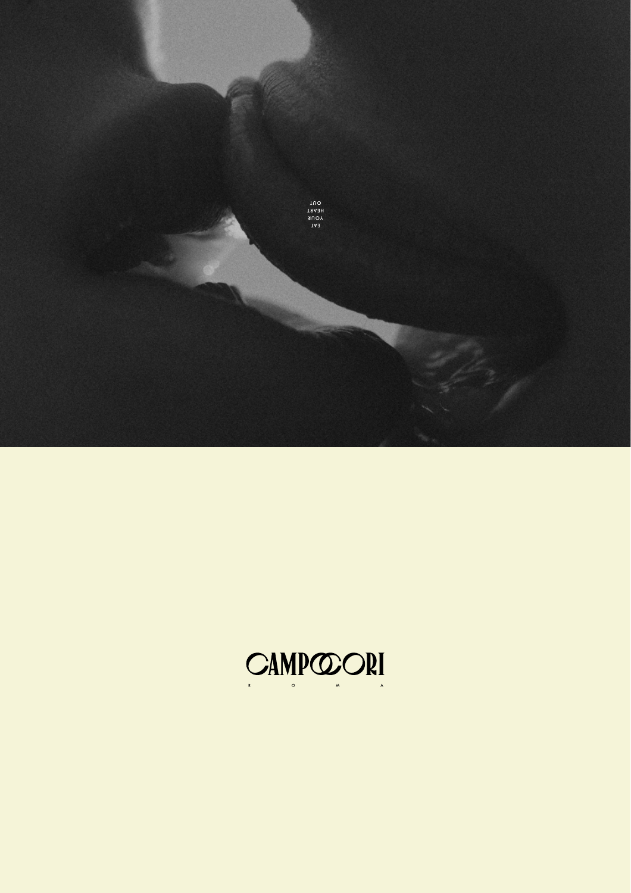